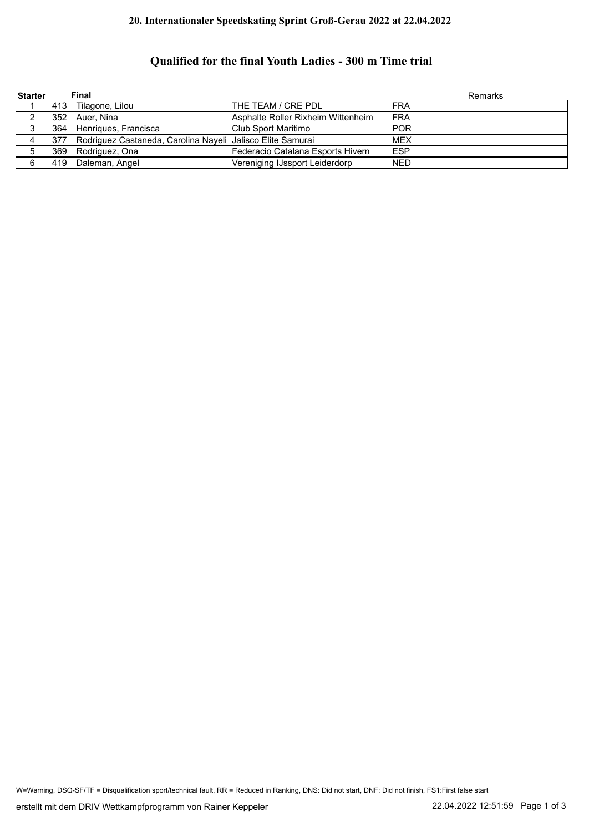## **20. Internationaler Speedskating Sprint Groß-Gerau 2022 at 22.04.2022**

## **Qualified for the final Youth Ladies - 300 m Time trial**

| <b>Starter</b> | Final                                                          |                                    |            | Remarks |
|----------------|----------------------------------------------------------------|------------------------------------|------------|---------|
|                | 413 Tilagone, Lilou                                            | THE TEAM / CRE PDL                 | <b>FRA</b> |         |
|                | 352 Auer, Nina                                                 | Asphalte Roller Rixheim Wittenheim | <b>FRA</b> |         |
|                | 364 Henriques, Francisca                                       | Club Sport Maritimo                | <b>POR</b> |         |
|                | 377 Rodriguez Castaneda, Carolina Nayeli Jalisco Elite Samurai |                                    | <b>MEX</b> |         |
| 5              | 369 Rodriguez, Ona                                             | Federacio Catalana Esports Hivern  | <b>ESP</b> |         |
| 6              | 419 Daleman, Angel                                             | Vereniging IJssport Leiderdorp     | <b>NED</b> |         |

W=Warning, DSQ-SF/TF = Disqualification sport/technical fault, RR = Reduced in Ranking, DNS: Did not start, DNF: Did not finish, FS1:First false start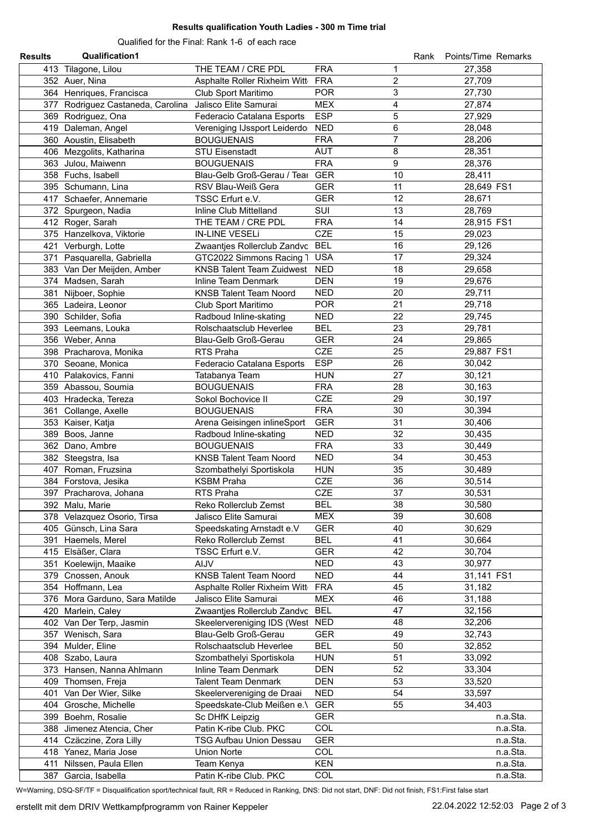## **Results qualification Youth Ladies - 300 m Time trial**

Qualified for the Final: Rank 1-6 of each race

| <b>Results</b> | <b>Qualification1</b>                                   |                                  |            | Rank           | Points/Time Remarks |
|----------------|---------------------------------------------------------|----------------------------------|------------|----------------|---------------------|
|                | 413 Tilagone, Lilou                                     | THE TEAM / CRE PDL               | <b>FRA</b> | 1              | 27,358              |
|                | 352 Auer, Nina                                          | Asphalte Roller Rixheim Witt     | <b>FRA</b> | $\overline{c}$ | 27,709              |
|                | 364 Henriques, Francisca                                | Club Sport Maritimo              | <b>POR</b> | 3              | 27,730              |
|                | 377 Rodriguez Castaneda, Carolina Jalisco Elite Samurai |                                  | <b>MEX</b> | 4              | 27,874              |
|                | 369 Rodriguez, Ona                                      | Federacio Catalana Esports       | <b>ESP</b> | 5              | 27,929              |
|                | 419 Daleman, Angel                                      | Vereniging IJssport Leiderdo     | <b>NED</b> | 6              | 28,048              |
|                | 360 Aoustin, Elisabeth                                  | <b>BOUGUENAIS</b>                | <b>FRA</b> | $\overline{7}$ | 28,206              |
|                | 406 Mezgolits, Katharina                                | <b>STU Eisenstadt</b>            | <b>AUT</b> | 8              | 28,351              |
|                | 363 Julou, Maiwenn                                      | <b>BOUGUENAIS</b>                | <b>FRA</b> | 9              | 28,376              |
|                | 358 Fuchs, Isabell                                      | Blau-Gelb Groß-Gerau / Tear      | <b>GER</b> | 10             | 28,411              |
|                | 395 Schumann, Lina                                      | RSV Blau-Weiß Gera               | <b>GER</b> | 11             | 28,649 FS1          |
|                | 417 Schaefer, Annemarie                                 | TSSC Erfurt e.V.                 | <b>GER</b> | 12             | 28,671              |
|                | 372 Spurgeon, Nadia                                     | Inline Club Mittelland           | SUI        | 13             | 28,769              |
|                | 412 Roger, Sarah                                        | THE TEAM / CRE PDL               | <b>FRA</b> | 14             | 28,915 FS1          |
|                | 375 Hanzelkova, Viktorie                                | <b>IN-LINE VESELi</b>            | <b>CZE</b> | 15             | 29,023              |
|                | 421 Verburgh, Lotte                                     | Zwaantjes Rollerclub Zandvc BEL  |            | 16             | 29,126              |
|                | 371 Pasquarella, Gabriella                              | GTC2022 Simmons Racing 1         | <b>USA</b> | 17             | 29,324              |
|                | 383 Van Der Meijden, Amber                              | <b>KNSB Talent Team Zuidwest</b> | <b>NED</b> | 18             | 29,658              |
|                | 374 Madsen, Sarah                                       | Inline Team Denmark              | <b>DEN</b> | 19             | 29,676              |
|                | 381 Nijboer, Sophie                                     | <b>KNSB Talent Team Noord</b>    | <b>NED</b> | 20             | 29,711              |
|                | 365 Ladeira, Leonor                                     | Club Sport Maritimo              | <b>POR</b> | 21             | 29,718              |
|                | 390 Schilder, Sofia                                     | Radboud Inline-skating           | <b>NED</b> | 22             | 29,745              |
|                | 393 Leemans, Louka                                      | Rolschaatsclub Heverlee          | <b>BEL</b> | 23             | 29,781              |
|                | 356 Weber, Anna                                         | Blau-Gelb Groß-Gerau             | <b>GER</b> | 24             | 29,865              |
|                | 398 Pracharova, Monika                                  | RTS Praha                        | <b>CZE</b> | 25             | 29,887 FS1          |
|                | 370 Seoane, Monica                                      | Federacio Catalana Esports       | <b>ESP</b> | 26             | 30,042              |
|                | 410 Palakovics, Fanni                                   | Tatabanya Team                   | <b>HUN</b> | 27             | 30,121              |
|                | 359 Abassou, Soumia                                     | <b>BOUGUENAIS</b>                | <b>FRA</b> | 28             | 30,163              |
|                | 403 Hradecka, Tereza                                    | Sokol Bochovice II               | <b>CZE</b> | 29             | 30,197              |
|                | 361 Collange, Axelle                                    | <b>BOUGUENAIS</b>                | <b>FRA</b> | 30             | 30,394              |
|                | 353 Kaiser, Katja                                       | Arena Geisingen inlineSport      | <b>GER</b> | 31             | 30,406              |
|                | 389 Boos, Janne                                         | Radboud Inline-skating           | <b>NED</b> | 32             | 30,435              |
|                | 362 Dano, Ambre                                         | <b>BOUGUENAIS</b>                | <b>FRA</b> | 33             | 30,449              |
|                | 382 Steegstra, Isa                                      | <b>KNSB Talent Team Noord</b>    | <b>NED</b> | 34             | 30,453              |
|                | 407 Roman, Fruzsina                                     | Szombathelyi Sportiskola         | <b>HUN</b> | 35             | 30,489              |
|                | 384 Forstova, Jesika                                    | <b>KSBM Praha</b>                | <b>CZE</b> | 36             | 30,514              |
|                | 397 Pracharova, Johana                                  | RTS Praha                        | <b>CZE</b> | 37             | 30,531              |
|                | 392 Malu, Marie                                         | Reko Rollerclub Zemst            | BEL        | 38             | 30,580              |
|                | 378 Velazquez Osorio, Tirsa                             | Jalisco Elite Samurai            | <b>MEX</b> | 39             | 30,608              |
|                | 405 Günsch, Lina Sara                                   | Speedskating Arnstadt e.V        | <b>GER</b> | 40             | 30,629              |
|                | 391 Haemels, Merel                                      | Reko Rollerclub Zemst            | <b>BEL</b> | 41             | 30,664              |
|                | 415 Elsäßer, Clara                                      | TSSC Erfurt e.V.                 | <b>GER</b> | 42             | 30,704              |
|                | 351 Koelewijn, Maaike                                   | <b>AIJV</b>                      | <b>NED</b> | 43             | 30,977              |
|                | 379 Cnossen, Anouk                                      | <b>KNSB Talent Team Noord</b>    | <b>NED</b> | 44             | 31,141 FS1          |
|                | 354 Hoffmann, Lea                                       | Asphalte Roller Rixheim Witt     | <b>FRA</b> | 45             | 31,182              |
|                | 376 Mora Garduno, Sara Matilde                          | Jalisco Elite Samurai            | <b>MEX</b> | 46             | 31,188              |
|                | 420 Marlein, Caley                                      | Zwaantjes Rollerclub Zandvc      | <b>BEL</b> | 47             | 32,156              |
|                | 402 Van Der Terp, Jasmin                                | Skeelervereniging IDS (West NED  |            | 48             | 32,206              |
|                | 357 Wenisch, Sara                                       | Blau-Gelb Groß-Gerau             | GER        | 49             | 32,743              |
|                | 394 Mulder, Eline                                       | Rolschaatsclub Heverlee          | <b>BEL</b> | 50             | 32,852              |
|                | 408 Szabo, Laura                                        | Szombathelyi Sportiskola         | <b>HUN</b> | 51             | 33,092              |
|                | 373 Hansen, Nanna Ahlmann                               | Inline Team Denmark              | <b>DEN</b> | 52             | 33,304              |
|                | 409 Thomsen, Freja                                      | <b>Talent Team Denmark</b>       | DEN        | 53             | 33,520              |
|                | 401 Van Der Wier, Silke                                 | Skeelervereniging de Draai       | NED        | 54             | 33,597              |
|                | 404 Grosche, Michelle                                   | Speedskate-Club Meißen e.\       | <b>GER</b> | 55             | 34,403              |
|                | 399 Boehm, Rosalie                                      | Sc DHfK Leipzig                  | GER        |                | n.a.Sta.            |
|                | 388 Jimenez Atencia, Cher                               | Patin K-ribe Club. PKC           | <b>COL</b> |                | n.a.Sta.            |
|                | 414 Czäczine, Zora Lilly                                | <b>TSG Aufbau Union Dessau</b>   | <b>GER</b> |                | n.a.Sta.            |
|                | 418 Yanez, Maria Jose                                   | Union Norte                      | <b>COL</b> |                | n.a.Sta.            |
|                | 411 Nilssen, Paula Ellen                                | Team Kenya                       | <b>KEN</b> |                | n.a.Sta.            |
|                | 387 Garcia, Isabella                                    | Patin K-ribe Club. PKC           | COL        |                | n.a.Sta.            |

W=Warning, DSQ-SF/TF = Disqualification sport/technical fault, RR = Reduced in Ranking, DNS: Did not start, DNF: Did not finish, FS1:First false start